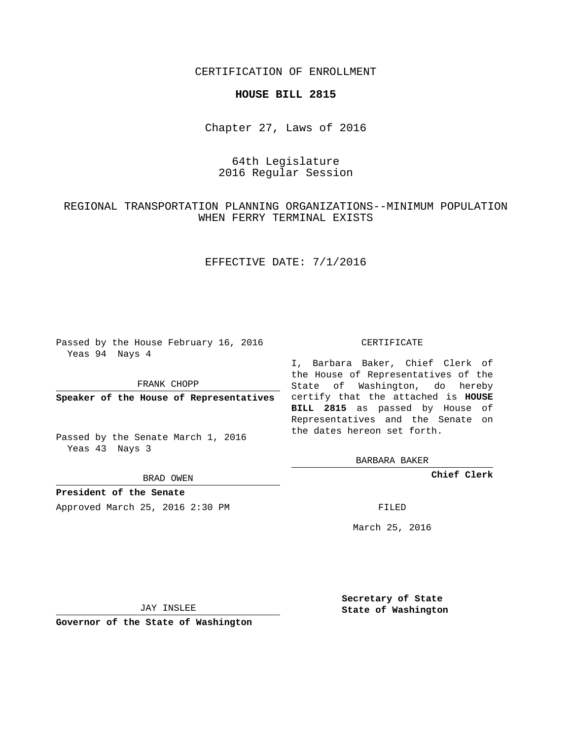CERTIFICATION OF ENROLLMENT

#### **HOUSE BILL 2815**

Chapter 27, Laws of 2016

# 64th Legislature 2016 Regular Session

## REGIONAL TRANSPORTATION PLANNING ORGANIZATIONS--MINIMUM POPULATION WHEN FERRY TERMINAL EXISTS

## EFFECTIVE DATE: 7/1/2016

Passed by the House February 16, 2016 Yeas 94 Nays 4

FRANK CHOPP

Passed by the Senate March 1, 2016 Yeas 43 Nays 3

BRAD OWEN

**President of the Senate**

Approved March 25, 2016 2:30 PM FILED

#### CERTIFICATE

**Speaker of the House of Representatives** certify that the attached is **HOUSE** I, Barbara Baker, Chief Clerk of the House of Representatives of the State of Washington, do hereby **BILL 2815** as passed by House of Representatives and the Senate on the dates hereon set forth.

BARBARA BAKER

**Chief Clerk**

March 25, 2016

JAY INSLEE

**Governor of the State of Washington**

**Secretary of State State of Washington**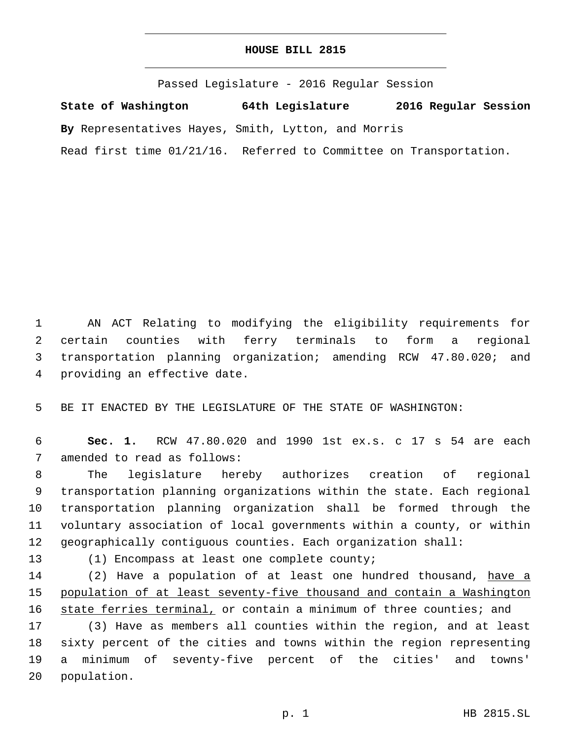#### **HOUSE BILL 2815**

Passed Legislature - 2016 Regular Session

**State of Washington 64th Legislature 2016 Regular Session**

**By** Representatives Hayes, Smith, Lytton, and Morris

Read first time 01/21/16. Referred to Committee on Transportation.

 AN ACT Relating to modifying the eligibility requirements for certain counties with ferry terminals to form a regional transportation planning organization; amending RCW 47.80.020; and 4 providing an effective date.

5 BE IT ENACTED BY THE LEGISLATURE OF THE STATE OF WASHINGTON:

6 **Sec. 1.** RCW 47.80.020 and 1990 1st ex.s. c 17 s 54 are each 7 amended to read as follows:

 The legislature hereby authorizes creation of regional transportation planning organizations within the state. Each regional transportation planning organization shall be formed through the voluntary association of local governments within a county, or within geographically contiguous counties. Each organization shall:

13 (1) Encompass at least one complete county;

14 (2) Have a population of at least one hundred thousand, have a 15 population of at least seventy-five thousand and contain a Washington 16 state ferries terminal, or contain a minimum of three counties; and

 (3) Have as members all counties within the region, and at least sixty percent of the cities and towns within the region representing a minimum of seventy-five percent of the cities' and towns' 20 population.